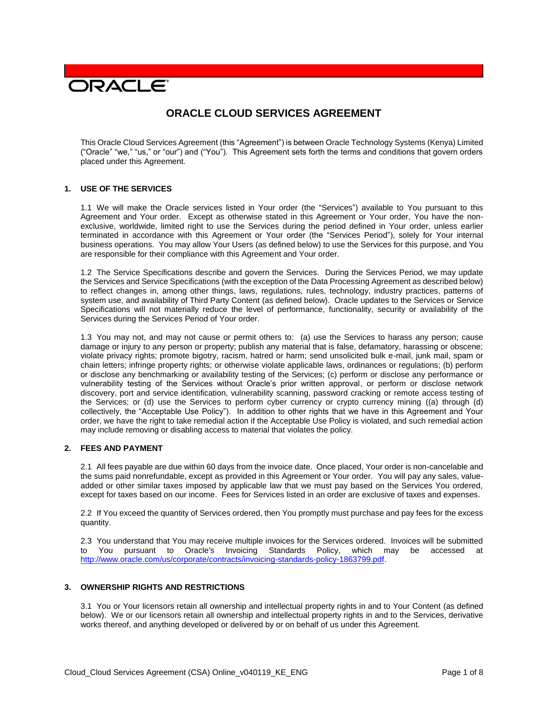# **DRACLE**

# **ORACLE CLOUD SERVICES AGREEMENT**

This Oracle Cloud Services Agreement (this "Agreement") is between Oracle Technology Systems (Kenya) Limited ("Oracle" "we," "us," or "our") and ("You"). This Agreement sets forth the terms and conditions that govern orders placed under this Agreement.

#### **1. USE OF THE SERVICES**

1.1 We will make the Oracle services listed in Your order (the "Services") available to You pursuant to this Agreement and Your order. Except as otherwise stated in this Agreement or Your order, You have the nonexclusive, worldwide, limited right to use the Services during the period defined in Your order, unless earlier terminated in accordance with this Agreement or Your order (the "Services Period"), solely for Your internal business operations. You may allow Your Users (as defined below) to use the Services for this purpose, and You are responsible for their compliance with this Agreement and Your order.

1.2 The Service Specifications describe and govern the Services. During the Services Period, we may update the Services and Service Specifications (with the exception of the Data Processing Agreement as described below) to reflect changes in, among other things, laws, regulations, rules, technology, industry practices, patterns of system use, and availability of Third Party Content (as defined below). Oracle updates to the Services or Service Specifications will not materially reduce the level of performance, functionality, security or availability of the Services during the Services Period of Your order.

1.3 You may not, and may not cause or permit others to: (a) use the Services to harass any person; cause damage or injury to any person or property; publish any material that is false, defamatory, harassing or obscene; violate privacy rights; promote bigotry, racism, hatred or harm; send unsolicited bulk e-mail, junk mail, spam or chain letters; infringe property rights; or otherwise violate applicable laws, ordinances or regulations; (b) perform or disclose any benchmarking or availability testing of the Services; (c) perform or disclose any performance or vulnerability testing of the Services without Oracle's prior written approval, or perform or disclose network discovery, port and service identification, vulnerability scanning, password cracking or remote access testing of the Services; or (d) use the Services to perform cyber currency or crypto currency mining ((a) through (d) collectively, the "Acceptable Use Policy"). In addition to other rights that we have in this Agreement and Your order, we have the right to take remedial action if the Acceptable Use Policy is violated, and such remedial action may include removing or disabling access to material that violates the policy.

# **2. FEES AND PAYMENT**

2.1 All fees payable are due within 60 days from the invoice date. Once placed, Your order is non-cancelable and the sums paid nonrefundable, except as provided in this Agreement or Your order. You will pay any sales, valueadded or other similar taxes imposed by applicable law that we must pay based on the Services You ordered, except for taxes based on our income. Fees for Services listed in an order are exclusive of taxes and expenses.

2.2 If You exceed the quantity of Services ordered, then You promptly must purchase and pay fees for the excess quantity.

2.3 You understand that You may receive multiple invoices for the Services ordered. Invoices will be submitted to You pursuant to Oracle's Invoicing Standards Policy, which may be accessed at [http://www.oracle.com/us/corporate/contracts/invoicing-standards-policy-1863799.pdf.](http://www.oracle.com/us/corporate/contracts/invoicing-standards-policy-1863799.pdf)

#### **3. OWNERSHIP RIGHTS AND RESTRICTIONS**

3.1 You or Your licensors retain all ownership and intellectual property rights in and to Your Content (as defined below). We or our licensors retain all ownership and intellectual property rights in and to the Services, derivative works thereof, and anything developed or delivered by or on behalf of us under this Agreement.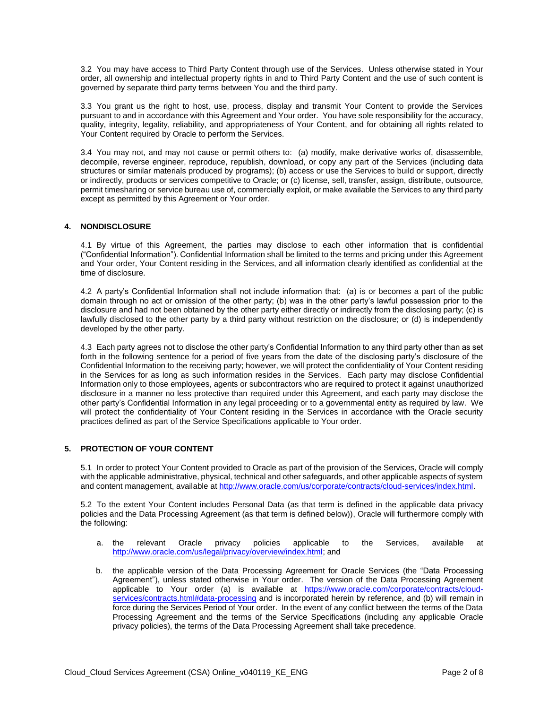3.2 You may have access to Third Party Content through use of the Services. Unless otherwise stated in Your order, all ownership and intellectual property rights in and to Third Party Content and the use of such content is governed by separate third party terms between You and the third party.

3.3 You grant us the right to host, use, process, display and transmit Your Content to provide the Services pursuant to and in accordance with this Agreement and Your order. You have sole responsibility for the accuracy, quality, integrity, legality, reliability, and appropriateness of Your Content, and for obtaining all rights related to Your Content required by Oracle to perform the Services.

3.4 You may not, and may not cause or permit others to: (a) modify, make derivative works of, disassemble, decompile, reverse engineer, reproduce, republish, download, or copy any part of the Services (including data structures or similar materials produced by programs); (b) access or use the Services to build or support, directly or indirectly, products or services competitive to Oracle; or (c) license, sell, transfer, assign, distribute, outsource, permit timesharing or service bureau use of, commercially exploit, or make available the Services to any third party except as permitted by this Agreement or Your order.

# **4. NONDISCLOSURE**

4.1 By virtue of this Agreement, the parties may disclose to each other information that is confidential ("Confidential Information"). Confidential Information shall be limited to the terms and pricing under this Agreement and Your order, Your Content residing in the Services, and all information clearly identified as confidential at the time of disclosure.

4.2 A party's Confidential Information shall not include information that: (a) is or becomes a part of the public domain through no act or omission of the other party; (b) was in the other party's lawful possession prior to the disclosure and had not been obtained by the other party either directly or indirectly from the disclosing party; (c) is lawfully disclosed to the other party by a third party without restriction on the disclosure; or (d) is independently developed by the other party.

4.3 Each party agrees not to disclose the other party's Confidential Information to any third party other than as set forth in the following sentence for a period of five years from the date of the disclosing party's disclosure of the Confidential Information to the receiving party; however, we will protect the confidentiality of Your Content residing in the Services for as long as such information resides in the Services. Each party may disclose Confidential Information only to those employees, agents or subcontractors who are required to protect it against unauthorized disclosure in a manner no less protective than required under this Agreement, and each party may disclose the other party's Confidential Information in any legal proceeding or to a governmental entity as required by law. We will protect the confidentiality of Your Content residing in the Services in accordance with the Oracle security practices defined as part of the Service Specifications applicable to Your order.

# **5. PROTECTION OF YOUR CONTENT**

5.1 In order to protect Your Content provided to Oracle as part of the provision of the Services, Oracle will comply with the applicable administrative, physical, technical and other safeguards, and other applicable aspects of system and content management, available at [http://www.oracle.com/us/corporate/contracts/cloud-services/index.html.](http://www.oracle.com/us/corporate/contracts/cloud-services/index.html)

5.2 To the extent Your Content includes Personal Data (as that term is defined in the applicable data privacy policies and the Data Processing Agreement (as that term is defined below)), Oracle will furthermore comply with the following:

- a. the relevant Oracle privacy policies applicable to the Services, available at [http://www.oracle.com/us/legal/privacy/overview/index.html;](http://www.oracle.com/us/legal/privacy/overview/index.html) and
- b. the applicable version of the Data Processing Agreement for Oracle Services (the "Data Processing Agreement"), unless stated otherwise in Your order. The version of the Data Processing Agreement applicable to Your order (a) is available at [https://www.oracle.com/corporate/contracts/cloud](https://www.oracle.com/corporate/contracts/cloud-services/contracts.html#data-processing)[services/contracts.html#data-processing](https://www.oracle.com/corporate/contracts/cloud-services/contracts.html#data-processing) and is incorporated herein by reference, and (b) will remain in force during the Services Period of Your order. In the event of any conflict between the terms of the Data Processing Agreement and the terms of the Service Specifications (including any applicable Oracle privacy policies), the terms of the Data Processing Agreement shall take precedence.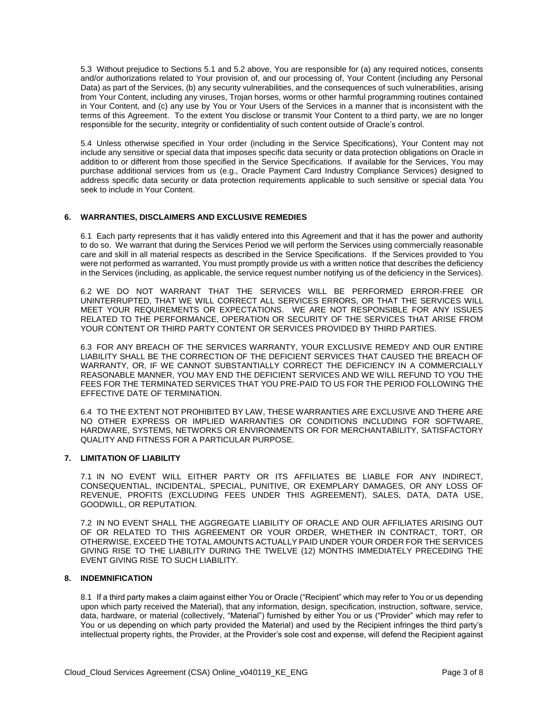5.3 Without prejudice to Sections 5.1 and 5.2 above, You are responsible for (a) any required notices, consents and/or authorizations related to Your provision of, and our processing of, Your Content (including any Personal Data) as part of the Services, (b) any security vulnerabilities, and the consequences of such vulnerabilities, arising from Your Content, including any viruses, Trojan horses, worms or other harmful programming routines contained in Your Content, and (c) any use by You or Your Users of the Services in a manner that is inconsistent with the terms of this Agreement. To the extent You disclose or transmit Your Content to a third party, we are no longer responsible for the security, integrity or confidentiality of such content outside of Oracle's control.

5.4 Unless otherwise specified in Your order (including in the Service Specifications), Your Content may not include any sensitive or special data that imposes specific data security or data protection obligations on Oracle in addition to or different from those specified in the Service Specifications. If available for the Services, You may purchase additional services from us (e.g., Oracle Payment Card Industry Compliance Services) designed to address specific data security or data protection requirements applicable to such sensitive or special data You seek to include in Your Content.

#### **6. WARRANTIES, DISCLAIMERS AND EXCLUSIVE REMEDIES**

6.1 Each party represents that it has validly entered into this Agreement and that it has the power and authority to do so. We warrant that during the Services Period we will perform the Services using commercially reasonable care and skill in all material respects as described in the Service Specifications. If the Services provided to You were not performed as warranted, You must promptly provide us with a written notice that describes the deficiency in the Services (including, as applicable, the service request number notifying us of the deficiency in the Services).

6.2 WE DO NOT WARRANT THAT THE SERVICES WILL BE PERFORMED ERROR-FREE OR UNINTERRUPTED, THAT WE WILL CORRECT ALL SERVICES ERRORS, OR THAT THE SERVICES WILL MEET YOUR REQUIREMENTS OR EXPECTATIONS. WE ARE NOT RESPONSIBLE FOR ANY ISSUES RELATED TO THE PERFORMANCE, OPERATION OR SECURITY OF THE SERVICES THAT ARISE FROM YOUR CONTENT OR THIRD PARTY CONTENT OR SERVICES PROVIDED BY THIRD PARTIES.

6.3 FOR ANY BREACH OF THE SERVICES WARRANTY, YOUR EXCLUSIVE REMEDY AND OUR ENTIRE LIABILITY SHALL BE THE CORRECTION OF THE DEFICIENT SERVICES THAT CAUSED THE BREACH OF WARRANTY, OR, IF WE CANNOT SUBSTANTIALLY CORRECT THE DEFICIENCY IN A COMMERCIALLY REASONABLE MANNER, YOU MAY END THE DEFICIENT SERVICES AND WE WILL REFUND TO YOU THE FEES FOR THE TERMINATED SERVICES THAT YOU PRE-PAID TO US FOR THE PERIOD FOLLOWING THE EFFECTIVE DATE OF TERMINATION.

6.4 TO THE EXTENT NOT PROHIBITED BY LAW, THESE WARRANTIES ARE EXCLUSIVE AND THERE ARE NO OTHER EXPRESS OR IMPLIED WARRANTIES OR CONDITIONS INCLUDING FOR SOFTWARE, HARDWARE, SYSTEMS, NETWORKS OR ENVIRONMENTS OR FOR MERCHANTABILITY, SATISFACTORY QUALITY AND FITNESS FOR A PARTICULAR PURPOSE.

# **7. LIMITATION OF LIABILITY**

7.1 IN NO EVENT WILL EITHER PARTY OR ITS AFFILIATES BE LIABLE FOR ANY INDIRECT, CONSEQUENTIAL, INCIDENTAL, SPECIAL, PUNITIVE, OR EXEMPLARY DAMAGES, OR ANY LOSS OF REVENUE, PROFITS (EXCLUDING FEES UNDER THIS AGREEMENT), SALES, DATA, DATA USE, GOODWILL, OR REPUTATION.

7.2 IN NO EVENT SHALL THE AGGREGATE LIABILITY OF ORACLE AND OUR AFFILIATES ARISING OUT OF OR RELATED TO THIS AGREEMENT OR YOUR ORDER, WHETHER IN CONTRACT, TORT, OR OTHERWISE, EXCEED THE TOTAL AMOUNTS ACTUALLY PAID UNDER YOUR ORDER FOR THE SERVICES GIVING RISE TO THE LIABILITY DURING THE TWELVE (12) MONTHS IMMEDIATELY PRECEDING THE EVENT GIVING RISE TO SUCH LIABILITY.

#### **8. INDEMNIFICATION**

8.1 If a third party makes a claim against either You or Oracle ("Recipient" which may refer to You or us depending upon which party received the Material), that any information, design, specification, instruction, software, service, data, hardware, or material (collectively, "Material") furnished by either You or us ("Provider" which may refer to You or us depending on which party provided the Material) and used by the Recipient infringes the third party's intellectual property rights, the Provider, at the Provider's sole cost and expense, will defend the Recipient against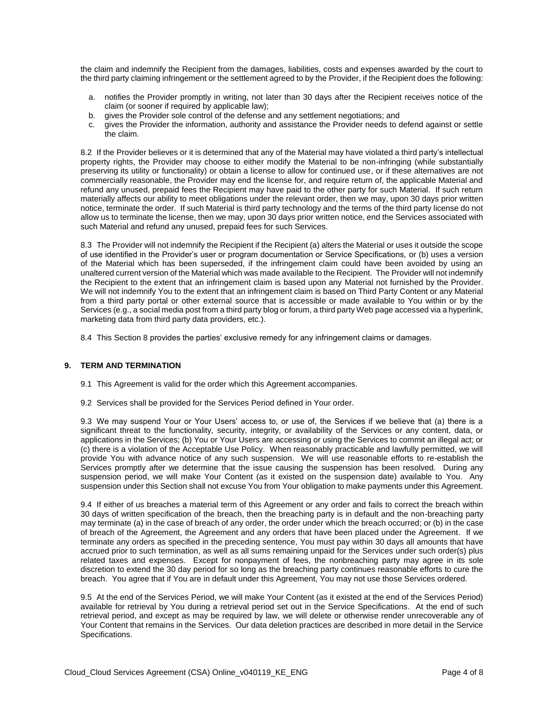the claim and indemnify the Recipient from the damages, liabilities, costs and expenses awarded by the court to the third party claiming infringement or the settlement agreed to by the Provider, if the Recipient does the following:

- a. notifies the Provider promptly in writing, not later than 30 days after the Recipient receives notice of the claim (or sooner if required by applicable law);
- b. gives the Provider sole control of the defense and any settlement negotiations; and
- c. gives the Provider the information, authority and assistance the Provider needs to defend against or settle the claim.

8.2 If the Provider believes or it is determined that any of the Material may have violated a third party's intellectual property rights, the Provider may choose to either modify the Material to be non-infringing (while substantially preserving its utility or functionality) or obtain a license to allow for continued use, or if these alternatives are not commercially reasonable, the Provider may end the license for, and require return of, the applicable Material and refund any unused, prepaid fees the Recipient may have paid to the other party for such Material. If such return materially affects our ability to meet obligations under the relevant order, then we may, upon 30 days prior written notice, terminate the order. If such Material is third party technology and the terms of the third party license do not allow us to terminate the license, then we may, upon 30 days prior written notice, end the Services associated with such Material and refund any unused, prepaid fees for such Services.

8.3 The Provider will not indemnify the Recipient if the Recipient (a) alters the Material or uses it outside the scope of use identified in the Provider's user or program documentation or Service Specifications, or (b) uses a version of the Material which has been superseded, if the infringement claim could have been avoided by using an unaltered current version of the Material which was made available to the Recipient. The Provider will not indemnify the Recipient to the extent that an infringement claim is based upon any Material not furnished by the Provider. We will not indemnify You to the extent that an infringement claim is based on Third Party Content or any Material from a third party portal or other external source that is accessible or made available to You within or by the Services (e.g., a social media post from a third party blog or forum, a third party Web page accessed via a hyperlink, marketing data from third party data providers, etc.).

8.4 This Section 8 provides the parties' exclusive remedy for any infringement claims or damages.

#### **9. TERM AND TERMINATION**

- 9.1 This Agreement is valid for the order which this Agreement accompanies.
- 9.2 Services shall be provided for the Services Period defined in Your order.

9.3 We may suspend Your or Your Users' access to, or use of, the Services if we believe that (a) there is a significant threat to the functionality, security, integrity, or availability of the Services or any content, data, or applications in the Services; (b) You or Your Users are accessing or using the Services to commit an illegal act; or (c) there is a violation of the Acceptable Use Policy. When reasonably practicable and lawfully permitted, we will provide You with advance notice of any such suspension. We will use reasonable efforts to re-establish the Services promptly after we determine that the issue causing the suspension has been resolved. During any suspension period, we will make Your Content (as it existed on the suspension date) available to You. Any suspension under this Section shall not excuse You from Your obligation to make payments under this Agreement.

9.4 If either of us breaches a material term of this Agreement or any order and fails to correct the breach within 30 days of written specification of the breach, then the breaching party is in default and the non-breaching party may terminate (a) in the case of breach of any order, the order under which the breach occurred; or (b) in the case of breach of the Agreement, the Agreement and any orders that have been placed under the Agreement. If we terminate any orders as specified in the preceding sentence, You must pay within 30 days all amounts that have accrued prior to such termination, as well as all sums remaining unpaid for the Services under such order(s) plus related taxes and expenses. Except for nonpayment of fees, the nonbreaching party may agree in its sole discretion to extend the 30 day period for so long as the breaching party continues reasonable efforts to cure the breach. You agree that if You are in default under this Agreement, You may not use those Services ordered.

9.5 At the end of the Services Period, we will make Your Content (as it existed at the end of the Services Period) available for retrieval by You during a retrieval period set out in the Service Specifications. At the end of such retrieval period, and except as may be required by law, we will delete or otherwise render unrecoverable any of Your Content that remains in the Services. Our data deletion practices are described in more detail in the Service Specifications.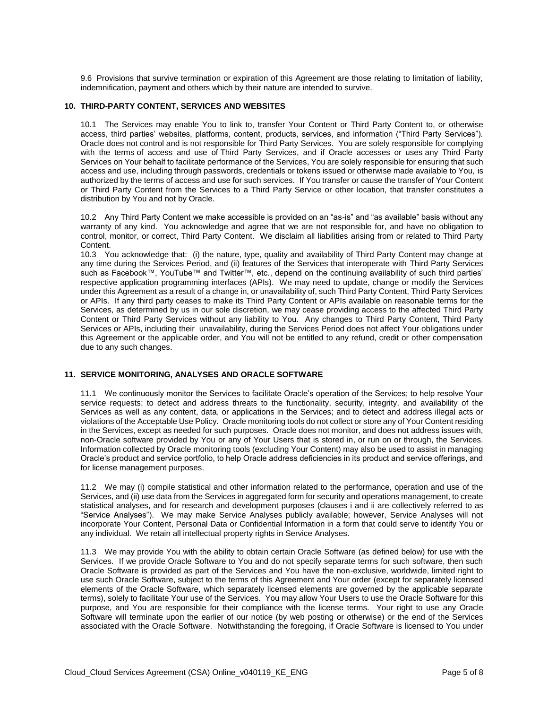9.6 Provisions that survive termination or expiration of this Agreement are those relating to limitation of liability, indemnification, payment and others which by their nature are intended to survive.

#### **10. THIRD-PARTY CONTENT, SERVICES AND WEBSITES**

10.1 The Services may enable You to link to, transfer Your Content or Third Party Content to, or otherwise access, third parties' websites, platforms, content, products, services, and information ("Third Party Services"). Oracle does not control and is not responsible for Third Party Services. You are solely responsible for complying with the terms of access and use of Third Party Services, and if Oracle accesses or uses any Third Party Services on Your behalf to facilitate performance of the Services, You are solely responsible for ensuring that such access and use, including through passwords, credentials or tokens issued or otherwise made available to You, is authorized by the terms of access and use for such services. If You transfer or cause the transfer of Your Content or Third Party Content from the Services to a Third Party Service or other location, that transfer constitutes a distribution by You and not by Oracle.

10.2 Any Third Party Content we make accessible is provided on an "as-is" and "as available" basis without any warranty of any kind. You acknowledge and agree that we are not responsible for, and have no obligation to control, monitor, or correct, Third Party Content. We disclaim all liabilities arising from or related to Third Party Content.

10.3 You acknowledge that: (i) the nature, type, quality and availability of Third Party Content may change at any time during the Services Period, and (ii) features of the Services that interoperate with Third Party Services such as Facebook™, YouTube™ and Twitter™, etc., depend on the continuing availability of such third parties' respective application programming interfaces (APIs). We may need to update, change or modify the Services under this Agreement as a result of a change in, or unavailability of, such Third Party Content, Third Party Services or APIs. If any third party ceases to make its Third Party Content or APIs available on reasonable terms for the Services, as determined by us in our sole discretion, we may cease providing access to the affected Third Party Content or Third Party Services without any liability to You. Any changes to Third Party Content, Third Party Services or APIs, including their unavailability, during the Services Period does not affect Your obligations under this Agreement or the applicable order, and You will not be entitled to any refund, credit or other compensation due to any such changes.

#### **11. SERVICE MONITORING, ANALYSES AND ORACLE SOFTWARE**

11.1 We continuously monitor the Services to facilitate Oracle's operation of the Services; to help resolve Your service requests; to detect and address threats to the functionality, security, integrity, and availability of the Services as well as any content, data, or applications in the Services; and to detect and address illegal acts or violations of the Acceptable Use Policy. Oracle monitoring tools do not collect or store any of Your Content residing in the Services, except as needed for such purposes. Oracle does not monitor, and does not address issues with, non-Oracle software provided by You or any of Your Users that is stored in, or run on or through, the Services. Information collected by Oracle monitoring tools (excluding Your Content) may also be used to assist in managing Oracle's product and service portfolio, to help Oracle address deficiencies in its product and service offerings, and for license management purposes.

11.2 We may (i) compile statistical and other information related to the performance, operation and use of the Services, and (ii) use data from the Services in aggregated form for security and operations management, to create statistical analyses, and for research and development purposes (clauses i and ii are collectively referred to as "Service Analyses"). We may make Service Analyses publicly available; however, Service Analyses will not incorporate Your Content, Personal Data or Confidential Information in a form that could serve to identify You or any individual. We retain all intellectual property rights in Service Analyses.

11.3 We may provide You with the ability to obtain certain Oracle Software (as defined below) for use with the Services. If we provide Oracle Software to You and do not specify separate terms for such software, then such Oracle Software is provided as part of the Services and You have the non-exclusive, worldwide, limited right to use such Oracle Software, subject to the terms of this Agreement and Your order (except for separately licensed elements of the Oracle Software, which separately licensed elements are governed by the applicable separate terms), solely to facilitate Your use of the Services. You may allow Your Users to use the Oracle Software for this purpose, and You are responsible for their compliance with the license terms. Your right to use any Oracle Software will terminate upon the earlier of our notice (by web posting or otherwise) or the end of the Services associated with the Oracle Software. Notwithstanding the foregoing, if Oracle Software is licensed to You under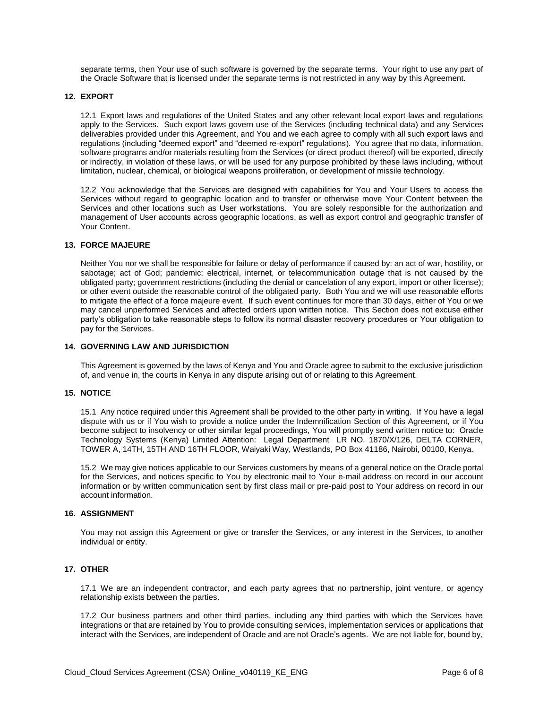separate terms, then Your use of such software is governed by the separate terms. Your right to use any part of the Oracle Software that is licensed under the separate terms is not restricted in any way by this Agreement.

#### **12. EXPORT**

12.1 Export laws and regulations of the United States and any other relevant local export laws and regulations apply to the Services. Such export laws govern use of the Services (including technical data) and any Services deliverables provided under this Agreement, and You and we each agree to comply with all such export laws and regulations (including "deemed export" and "deemed re-export" regulations). You agree that no data, information, software programs and/or materials resulting from the Services (or direct product thereof) will be exported, directly or indirectly, in violation of these laws, or will be used for any purpose prohibited by these laws including, without limitation, nuclear, chemical, or biological weapons proliferation, or development of missile technology.

12.2 You acknowledge that the Services are designed with capabilities for You and Your Users to access the Services without regard to geographic location and to transfer or otherwise move Your Content between the Services and other locations such as User workstations. You are solely responsible for the authorization and management of User accounts across geographic locations, as well as export control and geographic transfer of Your Content.

#### **13. FORCE MAJEURE**

Neither You nor we shall be responsible for failure or delay of performance if caused by: an act of war, hostility, or sabotage; act of God; pandemic; electrical, internet, or telecommunication outage that is not caused by the obligated party; government restrictions (including the denial or cancelation of any export, import or other license); or other event outside the reasonable control of the obligated party. Both You and we will use reasonable efforts to mitigate the effect of a force majeure event. If such event continues for more than 30 days, either of You or we may cancel unperformed Services and affected orders upon written notice. This Section does not excuse either party's obligation to take reasonable steps to follow its normal disaster recovery procedures or Your obligation to pay for the Services.

#### **14. GOVERNING LAW AND JURISDICTION**

This Agreement is governed by the laws of Kenya and You and Oracle agree to submit to the exclusive jurisdiction of, and venue in, the courts in Kenya in any dispute arising out of or relating to this Agreement.

#### **15. NOTICE**

15.1 Any notice required under this Agreement shall be provided to the other party in writing. If You have a legal dispute with us or if You wish to provide a notice under the Indemnification Section of this Agreement, or if You become subject to insolvency or other similar legal proceedings, You will promptly send written notice to: Oracle Technology Systems (Kenya) Limited Attention: Legal Department LR NO. 1870/X/126, DELTA CORNER, TOWER A, 14TH, 15TH AND 16TH FLOOR, Waiyaki Way, Westlands, PO Box 41186, Nairobi, 00100, Kenya.

15.2 We may give notices applicable to our Services customers by means of a general notice on the Oracle portal for the Services, and notices specific to You by electronic mail to Your e-mail address on record in our account information or by written communication sent by first class mail or pre-paid post to Your address on record in our account information.

#### **16. ASSIGNMENT**

You may not assign this Agreement or give or transfer the Services, or any interest in the Services, to another individual or entity.

# **17. OTHER**

17.1 We are an independent contractor, and each party agrees that no partnership, joint venture, or agency relationship exists between the parties.

17.2 Our business partners and other third parties, including any third parties with which the Services have integrations or that are retained by You to provide consulting services, implementation services or applications that interact with the Services, are independent of Oracle and are not Oracle's agents. We are not liable for, bound by,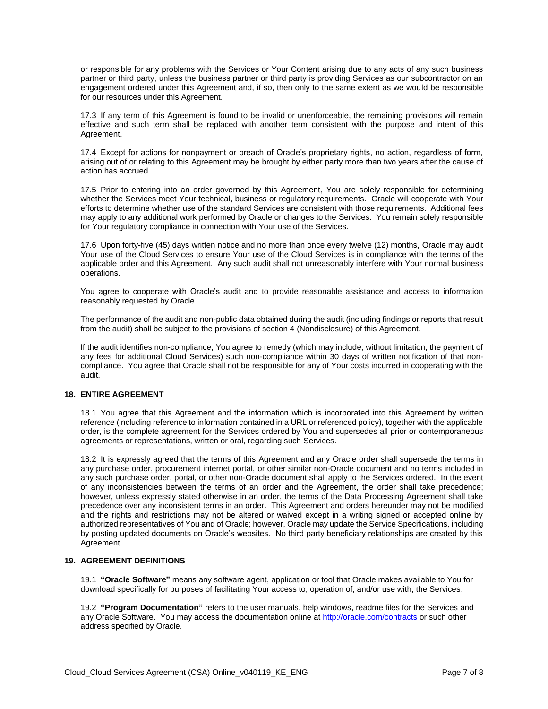or responsible for any problems with the Services or Your Content arising due to any acts of any such business partner or third party, unless the business partner or third party is providing Services as our subcontractor on an engagement ordered under this Agreement and, if so, then only to the same extent as we would be responsible for our resources under this Agreement.

17.3 If any term of this Agreement is found to be invalid or unenforceable, the remaining provisions will remain effective and such term shall be replaced with another term consistent with the purpose and intent of this Agreement.

17.4 Except for actions for nonpayment or breach of Oracle's proprietary rights, no action, regardless of form, arising out of or relating to this Agreement may be brought by either party more than two years after the cause of action has accrued.

17.5 Prior to entering into an order governed by this Agreement, You are solely responsible for determining whether the Services meet Your technical, business or regulatory requirements. Oracle will cooperate with Your efforts to determine whether use of the standard Services are consistent with those requirements. Additional fees may apply to any additional work performed by Oracle or changes to the Services. You remain solely responsible for Your regulatory compliance in connection with Your use of the Services.

17.6 Upon forty-five (45) days written notice and no more than once every twelve (12) months, Oracle may audit Your use of the Cloud Services to ensure Your use of the Cloud Services is in compliance with the terms of the applicable order and this Agreement. Any such audit shall not unreasonably interfere with Your normal business operations.

You agree to cooperate with Oracle's audit and to provide reasonable assistance and access to information reasonably requested by Oracle.

The performance of the audit and non-public data obtained during the audit (including findings or reports that result from the audit) shall be subject to the provisions of section 4 (Nondisclosure) of this Agreement.

If the audit identifies non-compliance, You agree to remedy (which may include, without limitation, the payment of any fees for additional Cloud Services) such non-compliance within 30 days of written notification of that noncompliance. You agree that Oracle shall not be responsible for any of Your costs incurred in cooperating with the audit.

# **18. ENTIRE AGREEMENT**

18.1 You agree that this Agreement and the information which is incorporated into this Agreement by written reference (including reference to information contained in a URL or referenced policy), together with the applicable order, is the complete agreement for the Services ordered by You and supersedes all prior or contemporaneous agreements or representations, written or oral, regarding such Services.

18.2 It is expressly agreed that the terms of this Agreement and any Oracle order shall supersede the terms in any purchase order, procurement internet portal, or other similar non-Oracle document and no terms included in any such purchase order, portal, or other non-Oracle document shall apply to the Services ordered. In the event of any inconsistencies between the terms of an order and the Agreement, the order shall take precedence; however, unless expressly stated otherwise in an order, the terms of the Data Processing Agreement shall take precedence over any inconsistent terms in an order. This Agreement and orders hereunder may not be modified and the rights and restrictions may not be altered or waived except in a writing signed or accepted online by authorized representatives of You and of Oracle; however, Oracle may update the Service Specifications, including by posting updated documents on Oracle's websites. No third party beneficiary relationships are created by this Agreement.

#### **19. AGREEMENT DEFINITIONS**

19.1 **"Oracle Software"** means any software agent, application or tool that Oracle makes available to You for download specifically for purposes of facilitating Your access to, operation of, and/or use with, the Services.

19.2 **"Program Documentation"** refers to the user manuals, help windows, readme files for the Services and any Oracle Software. You may access the documentation online a[t http://oracle.com/contracts](http://oracle.com/contracts) or such other address specified by Oracle.